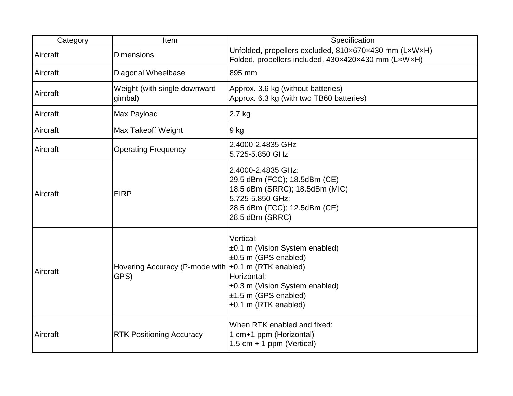| Category | Item                                                          | Specification                                                                                                                                                        |
|----------|---------------------------------------------------------------|----------------------------------------------------------------------------------------------------------------------------------------------------------------------|
| Aircraft | <b>Dimensions</b>                                             | Unfolded, propellers excluded, 810x670x430 mm (LxWxH)<br>Folded, propellers included, 430x420x430 mm (LxWxH)                                                         |
| Aircraft | Diagonal Wheelbase                                            | 895 mm                                                                                                                                                               |
| Aircraft | Weight (with single downward<br>gimbal)                       | Approx. 3.6 kg (without batteries)<br>Approx. 6.3 kg (with two TB60 batteries)                                                                                       |
| Aircraft | Max Payload                                                   | 2.7 kg                                                                                                                                                               |
| Aircraft | Max Takeoff Weight                                            | 9 kg                                                                                                                                                                 |
| Aircraft | <b>Operating Frequency</b>                                    | 2.4000-2.4835 GHz<br>5.725-5.850 GHz                                                                                                                                 |
| Aircraft | <b>EIRP</b>                                                   | 2.4000-2.4835 GHz:<br>29.5 dBm (FCC); 18.5dBm (CE)<br>18.5 dBm (SRRC); 18.5dBm (MIC)<br>5.725-5.850 GHz:<br>28.5 dBm (FCC); 12.5dBm (CE)<br>28.5 dBm (SRRC)          |
| Aircraft | Hovering Accuracy (P-mode with   ±0.1 m (RTK enabled)<br>GPS) | Vertical:<br>±0.1 m (Vision System enabled)<br>±0.5 m (GPS enabled)<br>Horizontal:<br>±0.3 m (Vision System enabled)<br>±1.5 m (GPS enabled)<br>±0.1 m (RTK enabled) |
| Aircraft | <b>RTK Positioning Accuracy</b>                               | When RTK enabled and fixed:<br>1 cm+1 ppm (Horizontal)<br>1.5 cm $+$ 1 ppm (Vertical)                                                                                |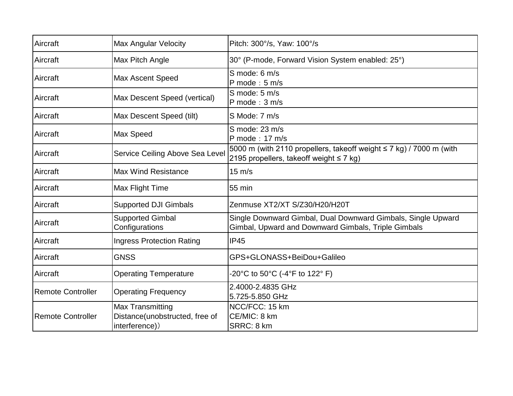| Aircraft                 | <b>Max Angular Velocity</b>                                          | Pitch: 300°/s, Yaw: 100°/s                                                                                               |
|--------------------------|----------------------------------------------------------------------|--------------------------------------------------------------------------------------------------------------------------|
| Aircraft                 | Max Pitch Angle                                                      | 30° (P-mode, Forward Vision System enabled: 25°)                                                                         |
| Aircraft                 | Max Ascent Speed                                                     | S mode: 6 m/s<br>P mode: $5 \text{ m/s}$                                                                                 |
| Aircraft                 | Max Descent Speed (vertical)                                         | S mode: 5 m/s<br>$P$ mode : 3 m/s                                                                                        |
| Aircraft                 | Max Descent Speed (tilt)                                             | S Mode: 7 m/s                                                                                                            |
| Aircraft                 | Max Speed                                                            | S mode: 23 m/s<br>P mode: 17 m/s                                                                                         |
| Aircraft                 | Service Ceiling Above Sea Level                                      | 5000 m (with 2110 propellers, takeoff weight $\leq$ 7 kg) / 7000 m (with<br>2195 propellers, takeoff weight $\leq 7$ kg) |
| Aircraft                 | <b>Max Wind Resistance</b>                                           | $15 \text{ m/s}$                                                                                                         |
| Aircraft                 | Max Flight Time                                                      | 55 min                                                                                                                   |
| Aircraft                 | <b>Supported DJI Gimbals</b>                                         | Zenmuse XT2/XT S/Z30/H20/H20T                                                                                            |
| Aircraft                 | <b>Supported Gimbal</b><br>Configurations                            | Single Downward Gimbal, Dual Downward Gimbals, Single Upward<br>Gimbal, Upward and Downward Gimbals, Triple Gimbals      |
| Aircraft                 | <b>Ingress Protection Rating</b>                                     | <b>IP45</b>                                                                                                              |
| Aircraft                 | <b>GNSS</b>                                                          | GPS+GLONASS+BeiDou+Galileo                                                                                               |
| Aircraft                 | <b>Operating Temperature</b>                                         | -20°C to 50°C (-4°F to 122° F)                                                                                           |
| <b>Remote Controller</b> | <b>Operating Frequency</b>                                           | 2.4000-2.4835 GHz<br>5.725-5.850 GHz                                                                                     |
| <b>Remote Controller</b> | Max Transmitting<br>Distance(unobstructed, free of<br>interference)) | NCC/FCC: 15 km<br>CE/MIC: 8 km<br>SRRC: 8 km                                                                             |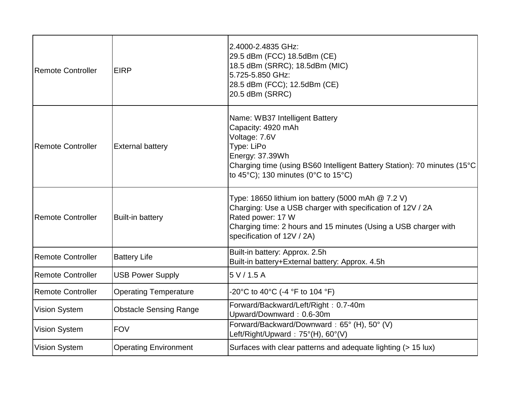| <b>Remote Controller</b> | <b>EIRP</b>                   | 2.4000-2.4835 GHz:<br>29.5 dBm (FCC) 18.5dBm (CE)<br>18.5 dBm (SRRC); 18.5dBm (MIC)<br>5.725-5.850 GHz:<br>28.5 dBm (FCC); 12.5dBm (CE)<br>20.5 dBm (SRRC)                                                                                                  |
|--------------------------|-------------------------------|-------------------------------------------------------------------------------------------------------------------------------------------------------------------------------------------------------------------------------------------------------------|
| <b>Remote Controller</b> | <b>External battery</b>       | Name: WB37 Intelligent Battery<br>Capacity: 4920 mAh<br>Voltage: 7.6V<br>Type: LiPo<br>Energy: 37.39Wh<br>Charging time (using BS60 Intelligent Battery Station): 70 minutes (15°C)<br>to 45 $^{\circ}$ C); 130 minutes (0 $^{\circ}$ C to 15 $^{\circ}$ C) |
| <b>Remote Controller</b> | <b>Built-in battery</b>       | Type: 18650 lithium ion battery (5000 mAh $@7.2$ V)<br>Charging: Use a USB charger with specification of 12V / 2A<br>Rated power: 17 W<br>Charging time: 2 hours and 15 minutes (Using a USB charger with<br>specification of 12V / 2A)                     |
| <b>Remote Controller</b> | <b>Battery Life</b>           | Built-in battery: Approx. 2.5h<br>Built-in battery+External battery: Approx. 4.5h                                                                                                                                                                           |
| <b>Remote Controller</b> | <b>USB Power Supply</b>       | 5 V / 1.5 A                                                                                                                                                                                                                                                 |
| <b>Remote Controller</b> | <b>Operating Temperature</b>  | -20°C to 40°C (-4 °F to 104 °F)                                                                                                                                                                                                                             |
| <b>Vision System</b>     | <b>Obstacle Sensing Range</b> | Forward/Backward/Left/Right: 0.7-40m<br>Upward/Downward: 0.6-30m                                                                                                                                                                                            |
| <b>Vision System</b>     | <b>FOV</b>                    | Forward/Backward/Downward: 65° (H), 50° (V)<br>Left/Right/Upward: 75°(H), 60°(V)                                                                                                                                                                            |
| <b>Vision System</b>     | <b>Operating Environment</b>  | Surfaces with clear patterns and adequate lighting (> 15 lux)                                                                                                                                                                                               |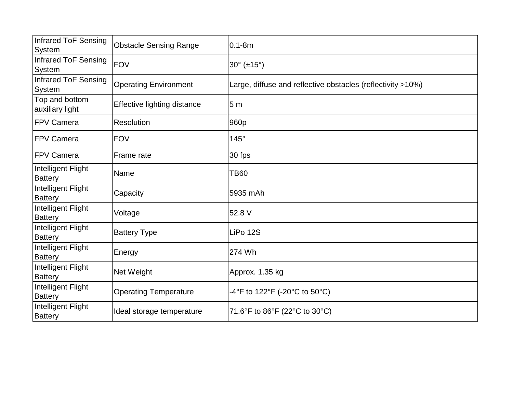| <b>Infrared ToF Sensing</b><br>System | <b>Obstacle Sensing Range</b> | $0.1 - 8m$                                                  |
|---------------------------------------|-------------------------------|-------------------------------------------------------------|
| Infrared ToF Sensing<br>System        | <b>FOV</b>                    | $30^{\circ}$ (±15°)                                         |
| Infrared ToF Sensing<br>System        | <b>Operating Environment</b>  | Large, diffuse and reflective obstacles (reflectivity >10%) |
| Top and bottom<br>auxiliary light     | Effective lighting distance   | 5 <sub>m</sub>                                              |
| FPV Camera                            | Resolution                    | 960p                                                        |
| <b>FPV Camera</b>                     | <b>FOV</b>                    | $145^\circ$                                                 |
| <b>FPV Camera</b>                     | Frame rate                    | 30 fps                                                      |
| Intelligent Flight<br><b>Battery</b>  | Name                          | <b>TB60</b>                                                 |
| Intelligent Flight<br>Battery         | Capacity                      | 5935 mAh                                                    |
| Intelligent Flight<br><b>Battery</b>  | Voltage                       | 52.8 V                                                      |
| Intelligent Flight<br>Battery         | <b>Battery Type</b>           | LiPo 12S                                                    |
| Intelligent Flight<br><b>Battery</b>  | Energy                        | 274 Wh                                                      |
| Intelligent Flight<br><b>Battery</b>  | Net Weight                    | Approx. 1.35 kg                                             |
| Intelligent Flight<br><b>Battery</b>  | <b>Operating Temperature</b>  | -4°F to 122°F (-20°C to 50°C)                               |
| Intelligent Flight<br><b>Battery</b>  | Ideal storage temperature     | 71.6°F to 86°F (22°C to 30°C)                               |